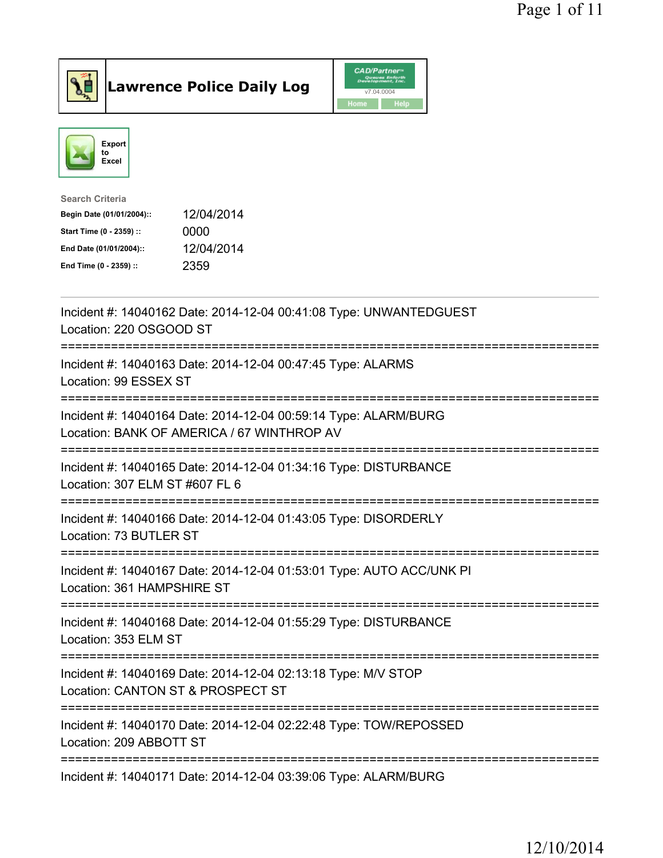



| <b>Search Criteria</b>    |            |
|---------------------------|------------|
| Begin Date (01/01/2004):: | 12/04/2014 |
| Start Time (0 - 2359) ::  | 0000       |
| End Date (01/01/2004)::   | 12/04/2014 |
| End Time (0 - 2359) ::    | 2359       |
|                           |            |

| Incident #: 14040162 Date: 2014-12-04 00:41:08 Type: UNWANTEDGUEST<br>Location: 220 OSGOOD ST                                             |
|-------------------------------------------------------------------------------------------------------------------------------------------|
| Incident #: 14040163 Date: 2014-12-04 00:47:45 Type: ALARMS<br>Location: 99 ESSEX ST                                                      |
| Incident #: 14040164 Date: 2014-12-04 00:59:14 Type: ALARM/BURG<br>Location: BANK OF AMERICA / 67 WINTHROP AV<br>======================== |
| Incident #: 14040165 Date: 2014-12-04 01:34:16 Type: DISTURBANCE<br>Location: 307 ELM ST #607 FL 6                                        |
| Incident #: 14040166 Date: 2014-12-04 01:43:05 Type: DISORDERLY<br>Location: 73 BUTLER ST<br>=====================                        |
| Incident #: 14040167 Date: 2014-12-04 01:53:01 Type: AUTO ACC/UNK PI<br>Location: 361 HAMPSHIRE ST                                        |
| Incident #: 14040168 Date: 2014-12-04 01:55:29 Type: DISTURBANCE<br>Location: 353 ELM ST                                                  |
| ==================<br>Incident #: 14040169 Date: 2014-12-04 02:13:18 Type: M/V STOP<br>Location: CANTON ST & PROSPECT ST                  |
| Incident #: 14040170 Date: 2014-12-04 02:22:48 Type: TOW/REPOSSED<br>Location: 209 ABBOTT ST                                              |
| Incident #: 14040171 Date: 2014-12-04 03:39:06 Type: ALARM/BURG                                                                           |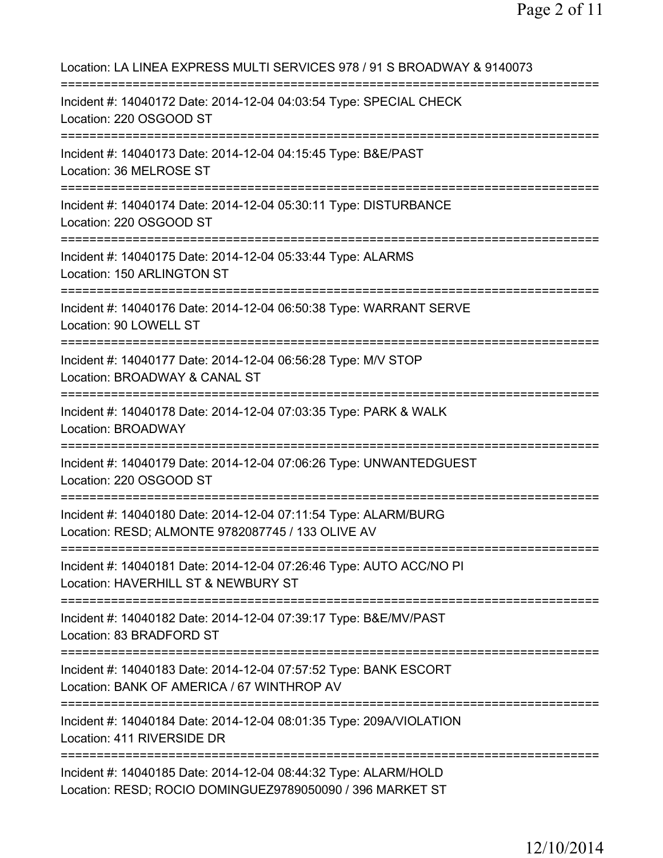Location: LA LINEA EXPRESS MULTI SERVICES 978 / 91 S BROADWAY & 9140073 =========================================================================== Incident #: 14040172 Date: 2014-12-04 04:03:54 Type: SPECIAL CHECK Location: 220 OSGOOD ST =========================================================================== Incident #: 14040173 Date: 2014-12-04 04:15:45 Type: B&E/PAST Location: 36 MELROSE ST =========================================================================== Incident #: 14040174 Date: 2014-12-04 05:30:11 Type: DISTURBANCE Location: 220 OSGOOD ST =========================================================================== Incident #: 14040175 Date: 2014-12-04 05:33:44 Type: ALARMS Location: 150 ARLINGTON ST =========================================================================== Incident #: 14040176 Date: 2014-12-04 06:50:38 Type: WARRANT SERVE Location: 90 LOWELL ST =========================================================================== Incident #: 14040177 Date: 2014-12-04 06:56:28 Type: M/V STOP Location: BROADWAY & CANAL ST =========================================================================== Incident #: 14040178 Date: 2014-12-04 07:03:35 Type: PARK & WALK Location: BROADWAY =========================================================================== Incident #: 14040179 Date: 2014-12-04 07:06:26 Type: UNWANTEDGUEST Location: 220 OSGOOD ST =========================================================================== Incident #: 14040180 Date: 2014-12-04 07:11:54 Type: ALARM/BURG Location: RESD; ALMONTE 9782087745 / 133 OLIVE AV =========================================================================== Incident #: 14040181 Date: 2014-12-04 07:26:46 Type: AUTO ACC/NO PI Location: HAVERHILL ST & NEWBURY ST =========================================================================== Incident #: 14040182 Date: 2014-12-04 07:39:17 Type: B&E/MV/PAST Location: 83 BRADFORD ST =========================================================================== Incident #: 14040183 Date: 2014-12-04 07:57:52 Type: BANK ESCORT Location: BANK OF AMERICA / 67 WINTHROP AV =========================================================================== Incident #: 14040184 Date: 2014-12-04 08:01:35 Type: 209A/VIOLATION Location: 411 RIVERSIDE DR =========================================================================== Incident #: 14040185 Date: 2014-12-04 08:44:32 Type: ALARM/HOLD Location: RESD; ROCIO DOMINGUEZ9789050090 / 396 MARKET ST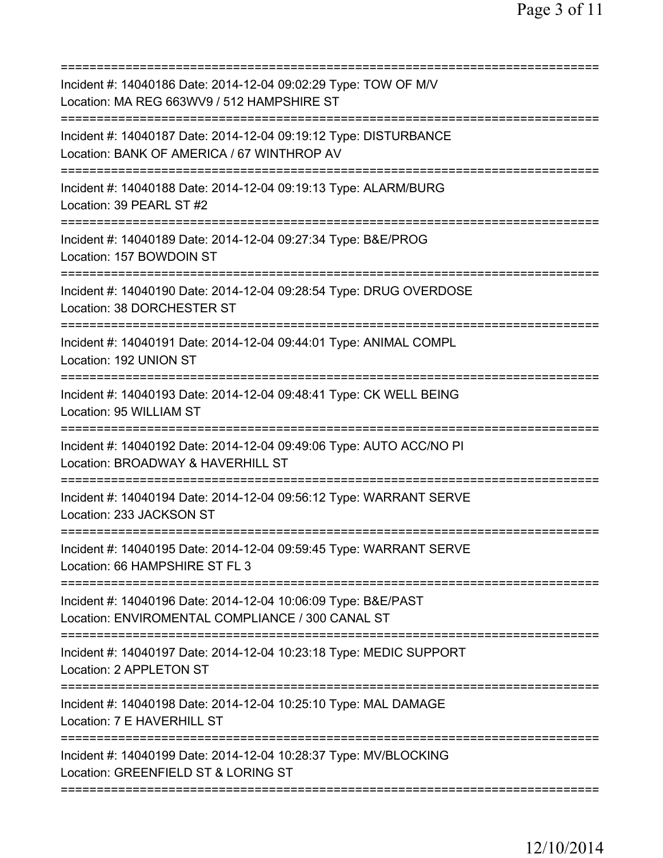| Incident #: 14040186 Date: 2014-12-04 09:02:29 Type: TOW OF M/V<br>Location: MA REG 663WV9 / 512 HAMPSHIRE ST                |
|------------------------------------------------------------------------------------------------------------------------------|
| Incident #: 14040187 Date: 2014-12-04 09:19:12 Type: DISTURBANCE<br>Location: BANK OF AMERICA / 67 WINTHROP AV               |
| Incident #: 14040188 Date: 2014-12-04 09:19:13 Type: ALARM/BURG<br>Location: 39 PEARL ST #2                                  |
| Incident #: 14040189 Date: 2014-12-04 09:27:34 Type: B&E/PROG<br>Location: 157 BOWDOIN ST                                    |
| Incident #: 14040190 Date: 2014-12-04 09:28:54 Type: DRUG OVERDOSE<br>Location: 38 DORCHESTER ST                             |
| Incident #: 14040191 Date: 2014-12-04 09:44:01 Type: ANIMAL COMPL<br>Location: 192 UNION ST<br>============================= |
| Incident #: 14040193 Date: 2014-12-04 09:48:41 Type: CK WELL BEING<br>Location: 95 WILLIAM ST                                |
| Incident #: 14040192 Date: 2014-12-04 09:49:06 Type: AUTO ACC/NO PI<br>Location: BROADWAY & HAVERHILL ST                     |
| Incident #: 14040194 Date: 2014-12-04 09:56:12 Type: WARRANT SERVE<br>Location: 233 JACKSON ST                               |
| Incident #: 14040195 Date: 2014-12-04 09:59:45 Type: WARRANT SERVE<br>Location: 66 HAMPSHIRE ST FL 3                         |
| Incident #: 14040196 Date: 2014-12-04 10:06:09 Type: B&E/PAST<br>Location: ENVIROMENTAL COMPLIANCE / 300 CANAL ST            |
| Incident #: 14040197 Date: 2014-12-04 10:23:18 Type: MEDIC SUPPORT<br>Location: 2 APPLETON ST                                |
| Incident #: 14040198 Date: 2014-12-04 10:25:10 Type: MAL DAMAGE<br>Location: 7 E HAVERHILL ST                                |
| Incident #: 14040199 Date: 2014-12-04 10:28:37 Type: MV/BLOCKING<br>Location: GREENFIELD ST & LORING ST                      |
|                                                                                                                              |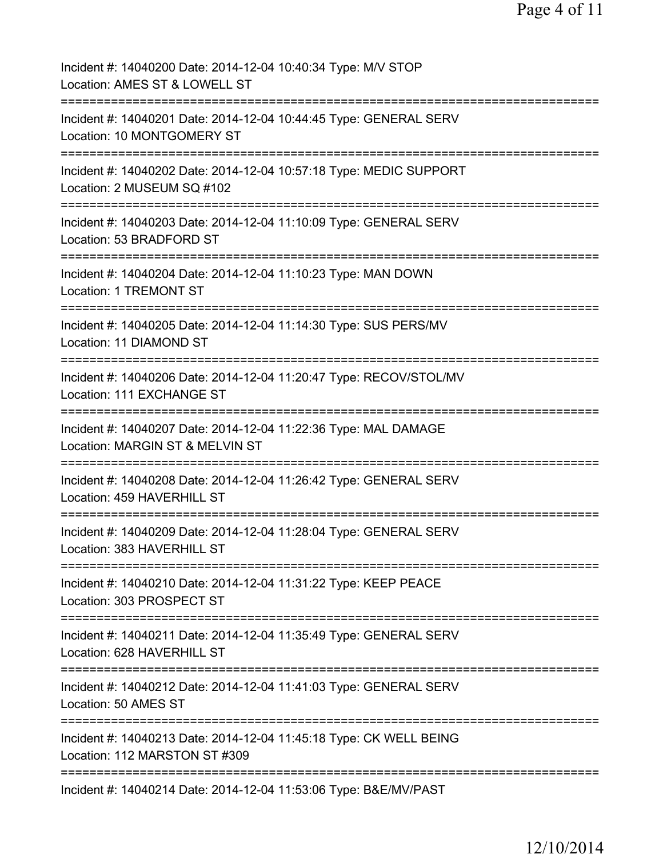| Incident #: 14040200 Date: 2014-12-04 10:40:34 Type: M/V STOP<br>Location: AMES ST & LOWELL ST      |
|-----------------------------------------------------------------------------------------------------|
| Incident #: 14040201 Date: 2014-12-04 10:44:45 Type: GENERAL SERV<br>Location: 10 MONTGOMERY ST     |
| Incident #: 14040202 Date: 2014-12-04 10:57:18 Type: MEDIC SUPPORT<br>Location: 2 MUSEUM SQ #102    |
| Incident #: 14040203 Date: 2014-12-04 11:10:09 Type: GENERAL SERV<br>Location: 53 BRADFORD ST       |
| Incident #: 14040204 Date: 2014-12-04 11:10:23 Type: MAN DOWN<br>Location: 1 TREMONT ST             |
| Incident #: 14040205 Date: 2014-12-04 11:14:30 Type: SUS PERS/MV<br>Location: 11 DIAMOND ST         |
| Incident #: 14040206 Date: 2014-12-04 11:20:47 Type: RECOV/STOL/MV<br>Location: 111 EXCHANGE ST     |
| Incident #: 14040207 Date: 2014-12-04 11:22:36 Type: MAL DAMAGE<br>Location: MARGIN ST & MELVIN ST  |
| Incident #: 14040208 Date: 2014-12-04 11:26:42 Type: GENERAL SERV<br>Location: 459 HAVERHILL ST     |
| Incident #: 14040209 Date: 2014-12-04 11:28:04 Type: GENERAL SERV<br>Location: 383 HAVERHILL ST     |
| Incident #: 14040210 Date: 2014-12-04 11:31:22 Type: KEEP PEACE<br>Location: 303 PROSPECT ST        |
| Incident #: 14040211 Date: 2014-12-04 11:35:49 Type: GENERAL SERV<br>Location: 628 HAVERHILL ST     |
| Incident #: 14040212 Date: 2014-12-04 11:41:03 Type: GENERAL SERV<br>Location: 50 AMES ST           |
| Incident #: 14040213 Date: 2014-12-04 11:45:18 Type: CK WELL BEING<br>Location: 112 MARSTON ST #309 |
| Incident #: 14040214 Date: 2014-12-04 11:53:06 Type: B&E/MV/PAST                                    |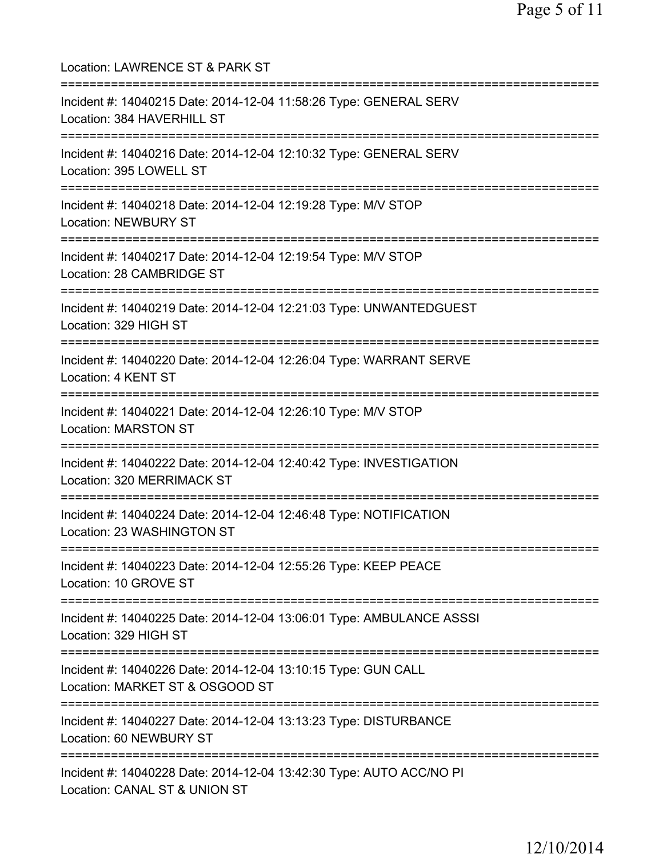Location: LAWRENCE ST & PARK ST =========================================================================== Incident #: 14040215 Date: 2014-12-04 11:58:26 Type: GENERAL SERV Location: 384 HAVERHILL ST =========================================================================== Incident #: 14040216 Date: 2014-12-04 12:10:32 Type: GENERAL SERV Location: 395 LOWELL ST =========================================================================== Incident #: 14040218 Date: 2014-12-04 12:19:28 Type: M/V STOP Location: NEWBURY ST =========================================================================== Incident #: 14040217 Date: 2014-12-04 12:19:54 Type: M/V STOP Location: 28 CAMBRIDGE ST =========================================================================== Incident #: 14040219 Date: 2014-12-04 12:21:03 Type: UNWANTEDGUEST Location: 329 HIGH ST =========================================================================== Incident #: 14040220 Date: 2014-12-04 12:26:04 Type: WARRANT SERVE Location: 4 KENT ST =========================================================================== Incident #: 14040221 Date: 2014-12-04 12:26:10 Type: M/V STOP Location: MARSTON ST =========================================================================== Incident #: 14040222 Date: 2014-12-04 12:40:42 Type: INVESTIGATION Location: 320 MERRIMACK ST =========================================================================== Incident #: 14040224 Date: 2014-12-04 12:46:48 Type: NOTIFICATION Location: 23 WASHINGTON ST =========================================================================== Incident #: 14040223 Date: 2014-12-04 12:55:26 Type: KEEP PEACE Location: 10 GROVE ST =========================================================================== Incident #: 14040225 Date: 2014-12-04 13:06:01 Type: AMBULANCE ASSSI Location: 329 HIGH ST =========================================================================== Incident #: 14040226 Date: 2014-12-04 13:10:15 Type: GUN CALL Location: MARKET ST & OSGOOD ST =========================================================================== Incident #: 14040227 Date: 2014-12-04 13:13:23 Type: DISTURBANCE Location: 60 NEWBURY ST =========================================================================== Incident #: 14040228 Date: 2014-12-04 13:42:30 Type: AUTO ACC/NO PI Location: CANAL ST & UNION ST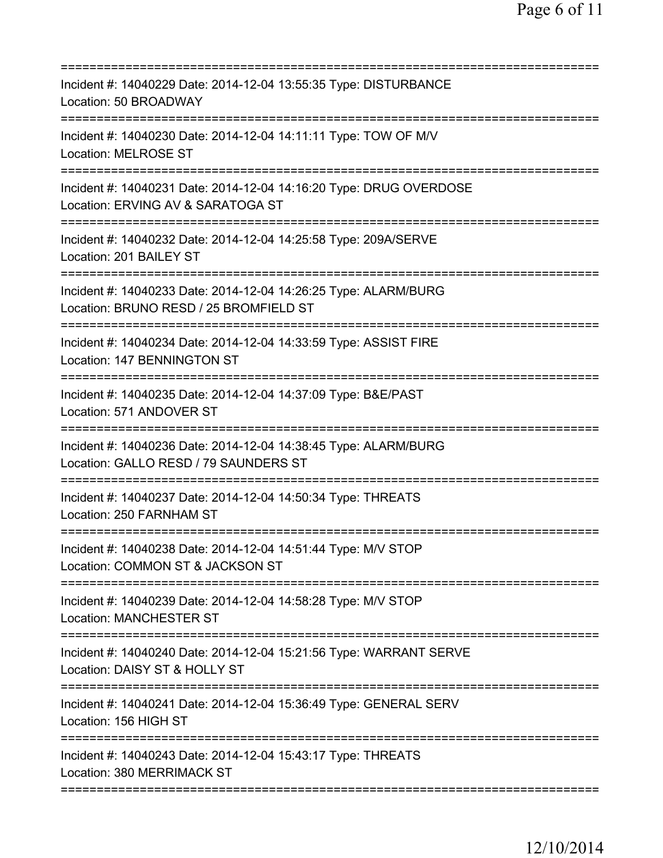| =========================                                                                                 |
|-----------------------------------------------------------------------------------------------------------|
| Incident #: 14040229 Date: 2014-12-04 13:55:35 Type: DISTURBANCE<br>Location: 50 BROADWAY                 |
| Incident #: 14040230 Date: 2014-12-04 14:11:11 Type: TOW OF M/V<br><b>Location: MELROSE ST</b>            |
| Incident #: 14040231 Date: 2014-12-04 14:16:20 Type: DRUG OVERDOSE<br>Location: ERVING AV & SARATOGA ST   |
| Incident #: 14040232 Date: 2014-12-04 14:25:58 Type: 209A/SERVE<br>Location: 201 BAILEY ST                |
| Incident #: 14040233 Date: 2014-12-04 14:26:25 Type: ALARM/BURG<br>Location: BRUNO RESD / 25 BROMFIELD ST |
| Incident #: 14040234 Date: 2014-12-04 14:33:59 Type: ASSIST FIRE<br>Location: 147 BENNINGTON ST           |
| =========<br>Incident #: 14040235 Date: 2014-12-04 14:37:09 Type: B&E/PAST<br>Location: 571 ANDOVER ST    |
| Incident #: 14040236 Date: 2014-12-04 14:38:45 Type: ALARM/BURG<br>Location: GALLO RESD / 79 SAUNDERS ST  |
| Incident #: 14040237 Date: 2014-12-04 14:50:34 Type: THREATS<br>Location: 250 FARNHAM ST                  |
| Incident #: 14040238 Date: 2014-12-04 14:51:44 Type: M/V STOP<br>Location: COMMON ST & JACKSON ST         |
| Incident #: 14040239 Date: 2014-12-04 14:58:28 Type: M/V STOP<br><b>Location: MANCHESTER ST</b>           |
| Incident #: 14040240 Date: 2014-12-04 15:21:56 Type: WARRANT SERVE<br>Location: DAISY ST & HOLLY ST       |
| Incident #: 14040241 Date: 2014-12-04 15:36:49 Type: GENERAL SERV<br>Location: 156 HIGH ST                |
| Incident #: 14040243 Date: 2014-12-04 15:43:17 Type: THREATS<br>Location: 380 MERRIMACK ST                |
|                                                                                                           |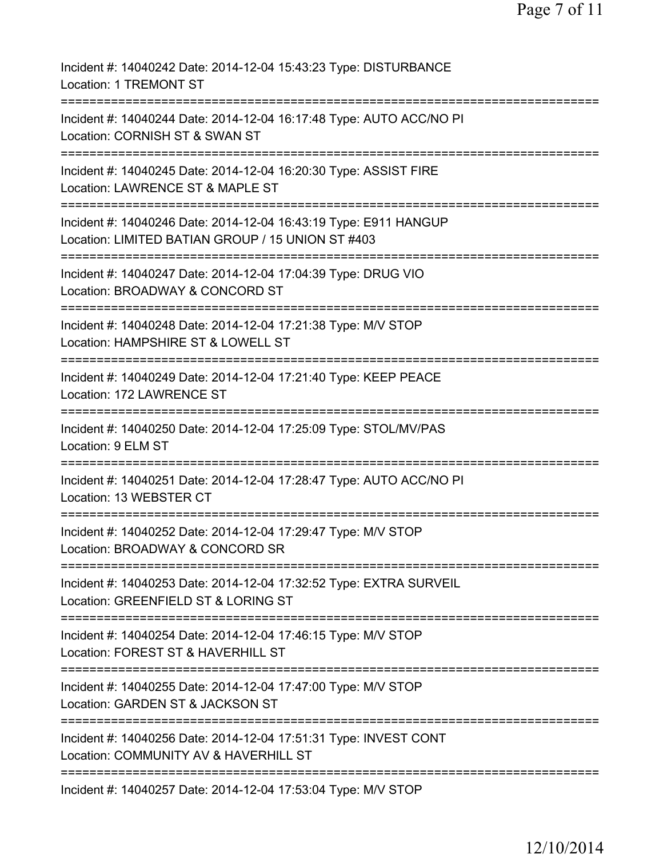| Incident #: 14040242 Date: 2014-12-04 15:43:23 Type: DISTURBANCE<br>Location: 1 TREMONT ST                                                           |
|------------------------------------------------------------------------------------------------------------------------------------------------------|
| Incident #: 14040244 Date: 2014-12-04 16:17:48 Type: AUTO ACC/NO PI<br>Location: CORNISH ST & SWAN ST                                                |
| Incident #: 14040245 Date: 2014-12-04 16:20:30 Type: ASSIST FIRE<br>Location: LAWRENCE ST & MAPLE ST                                                 |
| Incident #: 14040246 Date: 2014-12-04 16:43:19 Type: E911 HANGUP<br>Location: LIMITED BATIAN GROUP / 15 UNION ST #403                                |
| Incident #: 14040247 Date: 2014-12-04 17:04:39 Type: DRUG VIO<br>Location: BROADWAY & CONCORD ST                                                     |
| Incident #: 14040248 Date: 2014-12-04 17:21:38 Type: M/V STOP<br>Location: HAMPSHIRE ST & LOWELL ST<br>========================<br>================= |
| Incident #: 14040249 Date: 2014-12-04 17:21:40 Type: KEEP PEACE<br>Location: 172 LAWRENCE ST<br>====================================                 |
| Incident #: 14040250 Date: 2014-12-04 17:25:09 Type: STOL/MV/PAS<br>Location: 9 ELM ST                                                               |
| Incident #: 14040251 Date: 2014-12-04 17:28:47 Type: AUTO ACC/NO PI<br>Location: 13 WEBSTER CT                                                       |
| Incident #: 14040252 Date: 2014-12-04 17:29:47 Type: M/V STOP<br>Location: BROADWAY & CONCORD SR                                                     |
| Incident #: 14040253 Date: 2014-12-04 17:32:52 Type: EXTRA SURVEIL<br>Location: GREENFIELD ST & LORING ST                                            |
| Incident #: 14040254 Date: 2014-12-04 17:46:15 Type: M/V STOP<br>Location: FOREST ST & HAVERHILL ST                                                  |
| Incident #: 14040255 Date: 2014-12-04 17:47:00 Type: M/V STOP<br>Location: GARDEN ST & JACKSON ST                                                    |
| Incident #: 14040256 Date: 2014-12-04 17:51:31 Type: INVEST CONT<br>Location: COMMUNITY AV & HAVERHILL ST                                            |
| Incident #: 14040257 Date: 2014-12-04 17:53:04 Type: M/V STOP                                                                                        |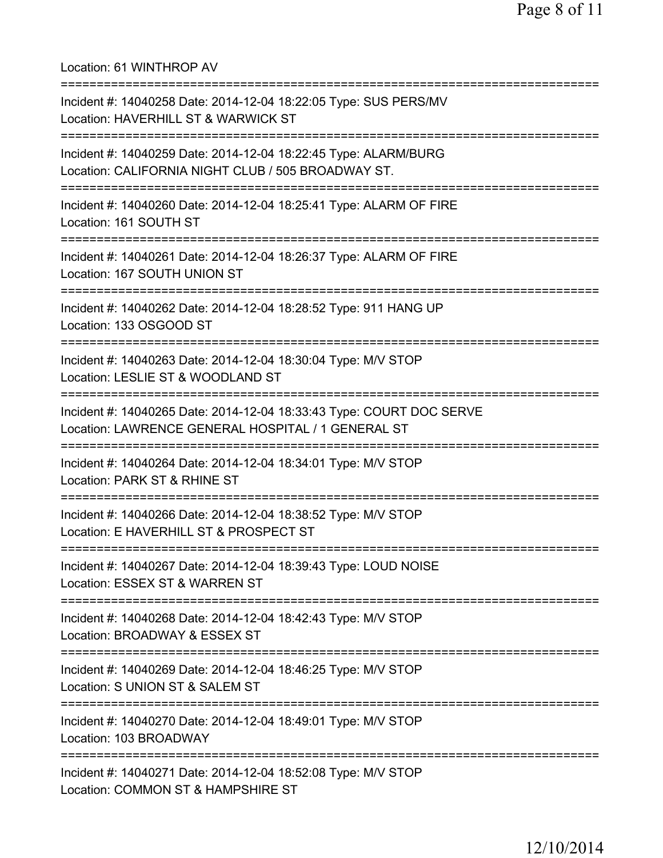Location: 61 WINTHROP AV =========================================================================== Incident #: 14040258 Date: 2014-12-04 18:22:05 Type: SUS PERS/MV Location: HAVERHILL ST & WARWICK ST =========================================================================== Incident #: 14040259 Date: 2014-12-04 18:22:45 Type: ALARM/BURG Location: CALIFORNIA NIGHT CLUB / 505 BROADWAY ST. =========================================================================== Incident #: 14040260 Date: 2014-12-04 18:25:41 Type: ALARM OF FIRE Location: 161 SOUTH ST =========================================================================== Incident #: 14040261 Date: 2014-12-04 18:26:37 Type: ALARM OF FIRE Location: 167 SOUTH UNION ST =========================================================================== Incident #: 14040262 Date: 2014-12-04 18:28:52 Type: 911 HANG UP Location: 133 OSGOOD ST =========================================================================== Incident #: 14040263 Date: 2014-12-04 18:30:04 Type: M/V STOP Location: LESLIE ST & WOODLAND ST =========================================================================== Incident #: 14040265 Date: 2014-12-04 18:33:43 Type: COURT DOC SERVE Location: LAWRENCE GENERAL HOSPITAL / 1 GENERAL ST =========================================================================== Incident #: 14040264 Date: 2014-12-04 18:34:01 Type: M/V STOP Location: PARK ST & RHINE ST =========================================================================== Incident #: 14040266 Date: 2014-12-04 18:38:52 Type: M/V STOP Location: E HAVERHILL ST & PROSPECT ST =========================================================================== Incident #: 14040267 Date: 2014-12-04 18:39:43 Type: LOUD NOISE Location: ESSEX ST & WARREN ST =========================================================================== Incident #: 14040268 Date: 2014-12-04 18:42:43 Type: M/V STOP Location: BROADWAY & ESSEX ST =========================================================================== Incident #: 14040269 Date: 2014-12-04 18:46:25 Type: M/V STOP Location: S UNION ST & SALEM ST =========================================================================== Incident #: 14040270 Date: 2014-12-04 18:49:01 Type: M/V STOP Location: 103 BROADWAY =========================================================================== Incident #: 14040271 Date: 2014-12-04 18:52:08 Type: M/V STOP Location: COMMON ST & HAMPSHIRE ST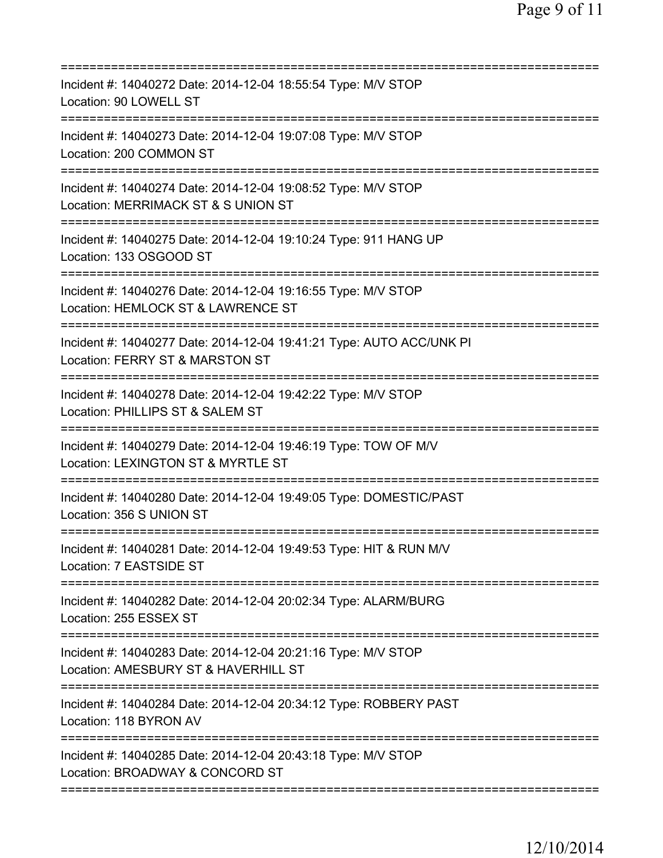| Incident #: 14040272 Date: 2014-12-04 18:55:54 Type: M/V STOP<br>Location: 90 LOWELL ST                                               |
|---------------------------------------------------------------------------------------------------------------------------------------|
| Incident #: 14040273 Date: 2014-12-04 19:07:08 Type: M/V STOP<br>Location: 200 COMMON ST                                              |
| Incident #: 14040274 Date: 2014-12-04 19:08:52 Type: M/V STOP<br>Location: MERRIMACK ST & S UNION ST                                  |
| Incident #: 14040275 Date: 2014-12-04 19:10:24 Type: 911 HANG UP<br>Location: 133 OSGOOD ST                                           |
| Incident #: 14040276 Date: 2014-12-04 19:16:55 Type: M/V STOP<br>Location: HEMLOCK ST & LAWRENCE ST                                   |
| Incident #: 14040277 Date: 2014-12-04 19:41:21 Type: AUTO ACC/UNK PI<br>Location: FERRY ST & MARSTON ST                               |
| Incident #: 14040278 Date: 2014-12-04 19:42:22 Type: M/V STOP<br>Location: PHILLIPS ST & SALEM ST                                     |
| Incident #: 14040279 Date: 2014-12-04 19:46:19 Type: TOW OF M/V<br>Location: LEXINGTON ST & MYRTLE ST                                 |
| Incident #: 14040280 Date: 2014-12-04 19:49:05 Type: DOMESTIC/PAST<br>Location: 356 S UNION ST                                        |
| Incident #: 14040281 Date: 2014-12-04 19:49:53 Type: HIT & RUN M/V<br>Location: 7 EASTSIDE ST                                         |
| Incident #: 14040282 Date: 2014-12-04 20:02:34 Type: ALARM/BURG<br>Location: 255 ESSEX ST                                             |
| Incident #: 14040283 Date: 2014-12-04 20:21:16 Type: M/V STOP<br>Location: AMESBURY ST & HAVERHILL ST<br>============================ |
| Incident #: 14040284 Date: 2014-12-04 20:34:12 Type: ROBBERY PAST<br>Location: 118 BYRON AV                                           |
| Incident #: 14040285 Date: 2014-12-04 20:43:18 Type: M/V STOP<br>Location: BROADWAY & CONCORD ST                                      |
|                                                                                                                                       |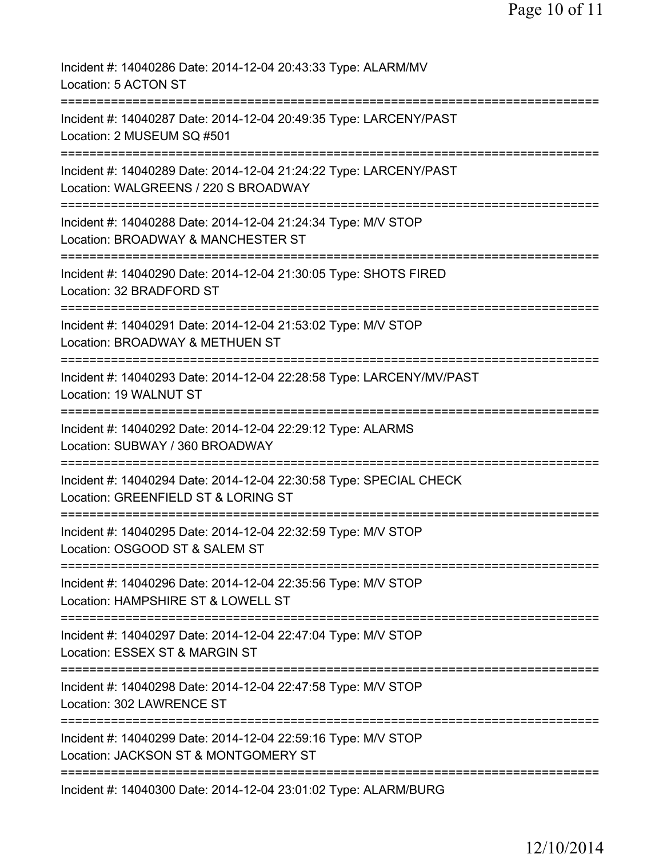| Incident #: 14040286 Date: 2014-12-04 20:43:33 Type: ALARM/MV<br>Location: 5 ACTON ST                                                                              |
|--------------------------------------------------------------------------------------------------------------------------------------------------------------------|
| Incident #: 14040287 Date: 2014-12-04 20:49:35 Type: LARCENY/PAST<br>Location: 2 MUSEUM SQ #501                                                                    |
| Incident #: 14040289 Date: 2014-12-04 21:24:22 Type: LARCENY/PAST<br>Location: WALGREENS / 220 S BROADWAY                                                          |
| Incident #: 14040288 Date: 2014-12-04 21:24:34 Type: M/V STOP<br>Location: BROADWAY & MANCHESTER ST                                                                |
| Incident #: 14040290 Date: 2014-12-04 21:30:05 Type: SHOTS FIRED<br>Location: 32 BRADFORD ST                                                                       |
| Incident #: 14040291 Date: 2014-12-04 21:53:02 Type: M/V STOP<br>Location: BROADWAY & METHUEN ST                                                                   |
| Incident #: 14040293 Date: 2014-12-04 22:28:58 Type: LARCENY/MV/PAST<br>Location: 19 WALNUT ST<br>===================                                              |
| Incident #: 14040292 Date: 2014-12-04 22:29:12 Type: ALARMS<br>Location: SUBWAY / 360 BROADWAY                                                                     |
| Incident #: 14040294 Date: 2014-12-04 22:30:58 Type: SPECIAL CHECK<br>Location: GREENFIELD ST & LORING ST                                                          |
| Incident #: 14040295 Date: 2014-12-04 22:32:59 Type: M/V STOP<br>Location: OSGOOD ST & SALEM ST                                                                    |
| Incident #: 14040296 Date: 2014-12-04 22:35:56 Type: M/V STOP<br>Location: HAMPSHIRE ST & LOWELL ST                                                                |
| =============================<br>==============================<br>Incident #: 14040297 Date: 2014-12-04 22:47:04 Type: M/V STOP<br>Location: ESSEX ST & MARGIN ST |
| Incident #: 14040298 Date: 2014-12-04 22:47:58 Type: M/V STOP<br>Location: 302 LAWRENCE ST                                                                         |
| Incident #: 14040299 Date: 2014-12-04 22:59:16 Type: M/V STOP<br>Location: JACKSON ST & MONTGOMERY ST                                                              |
| Incident #: 14040300 Date: 2014-12-04 23:01:02 Type: ALARM/BURG                                                                                                    |